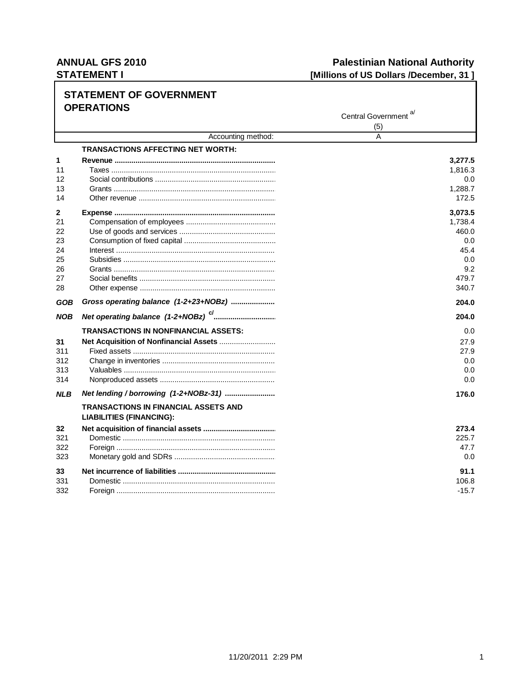## **ANNUAL GFS 2010 STATEMENT I**

## **Palestinian National Authority** [Millions of US Dollars /December, 31]

|            | SIAI EIVIEN I UF UUVERNIVIEN I<br><b>OPERATIONS</b> |                                  |
|------------|-----------------------------------------------------|----------------------------------|
|            |                                                     | Central Government <sup>a/</sup> |
|            |                                                     | (5)                              |
|            | Accounting method:                                  | A                                |
|            | <b>TRANSACTIONS AFFECTING NET WORTH:</b>            |                                  |
| 1          |                                                     | 3,277.5                          |
| 11         | Taxes …………………………………………………………………                     | 1,816.3                          |
| 12         |                                                     | 0.0                              |
| 13         |                                                     | 1,288.7                          |
| 14         |                                                     | 172.5                            |
| 2          |                                                     | 3,073.5                          |
| 21         |                                                     | 1,738.4                          |
| 22         |                                                     | 460.0                            |
| 23         |                                                     | 0.0                              |
| 24         |                                                     | 45.4                             |
| 25         |                                                     | 0.0                              |
| 26         |                                                     | 9.2                              |
| 27         |                                                     | 479.7                            |
| 28         |                                                     | 340.7                            |
| GOB        | Gross operating balance (1-2+23+NOBz)               | 204.0                            |
| <b>NOB</b> |                                                     | 204.0                            |
|            | TRANSACTIONS IN NONFINANCIAL ASSETS:                | 0.0                              |
| 31         |                                                     | 27.9                             |
| 311        |                                                     | 27.9                             |
| 312        |                                                     | 0.0                              |
| 313        |                                                     | 0.0                              |
| 314        |                                                     | 0.0                              |
| <b>NLB</b> | Net lending / borrowing (1-2+NOBz-31)               | 176.0                            |
|            | <b>TRANSACTIONS IN FINANCIAL ASSETS AND</b>         |                                  |
|            | <b>LIABILITIES (FINANCING):</b>                     |                                  |
| 32         |                                                     | 273.4                            |
| 321        |                                                     | 225.7                            |
| 322        |                                                     | 47.7                             |
| 323        |                                                     | 0.0                              |
| 33         |                                                     | 91.1                             |
| 331        |                                                     | 106.8                            |
| 332        |                                                     | -15.7                            |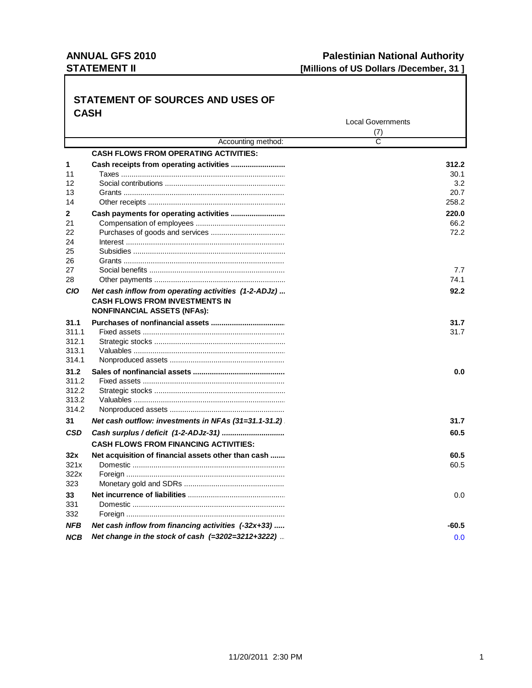### **ANNUAL GFS 2010 STATEMENT II**

#### **STATEMENT OF SOURCES AND USES OF CASH Local Governments**  $(7)$ Accounting method:  $\overline{\text{c}}$ **CASH FLOWS FROM OPERATING ACTIVITIES:** 1 312.2  $11$  $30.1$  $12$  $3.2$ 20.7  $13$  $14$ 258.2  $\overline{2}$ Cash payments for operating activities ............................ 220.0  $21$ 66.2 22 72.2 24 Interest and the contract of the contract of the contract of the contract of the contract of the contract of the contract of the contract of the contract of the contract of the contract of the contract of the contract of t 25 26 27  $7.7$ 28 74.1 **CIO** Net cash inflow from operating activities (1-2-ADJz)... 92.2 **CASH FLOWS FROM INVESTMENTS IN NONFINANCIAL ASSETS (NFAs):**  $31.1$  $31.7$ 311.1 31.7 312.1 313.1 314.1  $31.2$  $0.0$ 311.2  $3122$  $3132$  $3142$  $31$  $31.7$ Net cash outflow: investments in NFAs (31=31.1-31.2) **CSD** 60.5 **CASH FLOWS FROM FINANCING ACTIVITIES:** Net acquisition of financial assets other than cash .......  $32x$ 60.5 60.5  $321x$ 322x 323 33  $0.0$ 331 332 **NFB** Net cash inflow from financing activities (-32x+33) .....  $-60.5$ **NCB** Net change in the stock of cash (=3202=3212+3222)...  $0.0$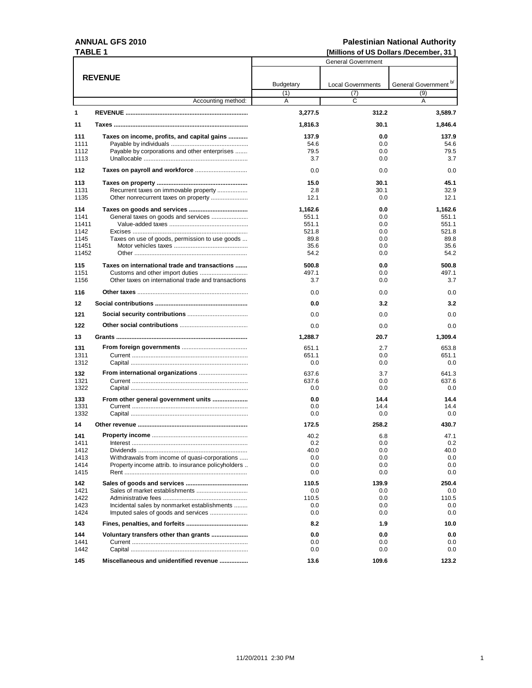### **ANNUAL GFS 2010** TADI E 4

# Palestinian National Authority<br>IMillions of US Dollars /December. 31 1

| TABLE 1 |                                                     | [Millions of US Dollars /December, 31] |                          |                                  |  |
|---------|-----------------------------------------------------|----------------------------------------|--------------------------|----------------------------------|--|
|         |                                                     | <b>General Government</b>              |                          |                                  |  |
|         | <b>REVENUE</b>                                      |                                        |                          |                                  |  |
|         |                                                     | <b>Budgetary</b>                       | <b>Local Governments</b> | General Government <sup>b/</sup> |  |
|         |                                                     | (1)                                    | (7)                      | (9)                              |  |
|         | Accounting method:                                  | A                                      | C                        | A                                |  |
| 1       |                                                     | 3,277.5                                | 312.2                    | 3,589.7                          |  |
| 11      |                                                     | 1,816.3                                | 30.1                     | 1,846.4                          |  |
| 111     | Taxes on income, profits, and capital gains         | 137.9                                  | 0.0                      | 137.9                            |  |
| 1111    |                                                     | 54.6                                   | 0.0                      | 54.6                             |  |
| 1112    | Payable by corporations and other enterprises       | 79.5                                   | 0.0                      | 79.5                             |  |
| 1113    |                                                     | 3.7                                    | 0.0                      | 3.7                              |  |
| 112     |                                                     | 0.0                                    | 0.0                      | 0.0                              |  |
| 113     |                                                     | 15.0                                   | 30.1                     | 45.1                             |  |
| 1131    | Recurrent taxes on immovable property               | 2.8                                    | 30.1                     | 32.9                             |  |
| 1135    |                                                     | 12.1                                   | 0.0                      | 12.1                             |  |
| 114     |                                                     | 1,162.6                                | 0.0                      | 1,162.6                          |  |
| 1141    | General taxes on goods and services                 | 551.1                                  | 0.0                      | 551.1                            |  |
| 11411   |                                                     | 551.1                                  | 0.0                      | 551.1                            |  |
| 1142    |                                                     | 521.8                                  | 0.0                      | 521.8                            |  |
| 1145    | Taxes on use of goods, permission to use goods      | 89.8                                   | 0.0                      | 89.8                             |  |
| 11451   |                                                     | 35.6                                   | 0.0                      | 35.6                             |  |
| 11452   |                                                     | 54.2                                   | 0.0                      | 54.2                             |  |
| 115     | Taxes on international trade and transactions       | 500.8                                  | 0.0                      | 500.8                            |  |
| 1151    |                                                     | 497.1                                  | 0.0                      | 497.1                            |  |
| 1156    | Other taxes on international trade and transactions | 3.7                                    | 0.0                      | 3.7                              |  |
| 116     |                                                     | 0.0                                    | 0.0                      | 0.0                              |  |
| $12 \,$ |                                                     | 0.0                                    | 3.2                      | 3.2                              |  |
| 121     |                                                     | 0.0                                    | 0.0                      | 0.0                              |  |
| 122     |                                                     | 0.0                                    | 0.0                      | 0.0                              |  |
| 13      |                                                     | 1,288.7                                | 20.7                     | 1,309.4                          |  |
| 131     |                                                     | 651.1                                  | 2.7                      | 653.8                            |  |
| 1311    |                                                     | 651.1                                  | 0.0                      | 651.1                            |  |
| 1312    |                                                     | 0.0                                    | 0.0                      | 0.0                              |  |
| 132     |                                                     | 637.6                                  | 3.7                      | 641.3                            |  |
| 1321    |                                                     | 637.6                                  | 0.0                      | 637.6                            |  |
| 1322    |                                                     | 0.0                                    | 0.0                      | 0.0                              |  |
| 133     | From other general government units                 | 0.0                                    | 14.4                     | 14.4                             |  |
| 1331    |                                                     | 0.0                                    | 14.4                     | 14.4                             |  |
| 1332    |                                                     | 0.0                                    | 0.0                      | 0.0                              |  |
| 14      |                                                     | 172.5                                  | 258.2                    | 430.7                            |  |
| 141     |                                                     | 40.2                                   | 6.8                      | 47.1                             |  |
| 1411    |                                                     | 0.2                                    | 0.0                      | 0.2                              |  |
| 1412    |                                                     | 40.0                                   | 0.0                      | 40.0                             |  |
| 1413    | Withdrawals from income of quasi-corporations       | 0.0                                    | 0.0                      | 0.0                              |  |
| 1414    | Property income attrib. to insurance policyholders  | 0.0                                    | 0.0                      | 0.0                              |  |
| 1415    |                                                     | 0.0                                    | 0.0                      | 0.0                              |  |
| 142     |                                                     | 110.5                                  | 139.9                    | 250.4                            |  |
| 1421    |                                                     | 0.0                                    | 0.0                      | 0.0                              |  |
| 1422    |                                                     | 110.5                                  | 0.0                      | 110.5                            |  |
| 1423    | Incidental sales by nonmarket establishments        | 0.0                                    | 0.0                      | 0.0                              |  |
| 1424    |                                                     | 0.0                                    | 0.0                      | 0.0                              |  |
| 143     |                                                     | 8.2                                    | 1.9                      | 10.0                             |  |
| 144     |                                                     | 0.0                                    | 0.0                      | 0.0                              |  |
| 1441    |                                                     | 0.0                                    | 0.0                      | 0.0                              |  |
| 1442    |                                                     | 0.0                                    | 0.0                      | 0.0                              |  |
| 145     | Miscellaneous and unidentified revenue              | 13.6                                   | 109.6                    | 123.2                            |  |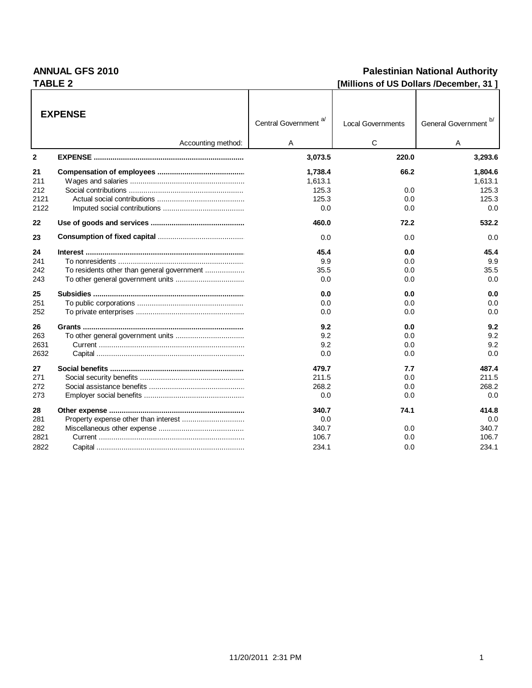### **ANNUAL GFS 2010** TABLE 2

### **Palestinian National Authority** [Millions of US Dollars /December, 31]

|                                  | <b>EXPENSE</b>                             | a<br><b>Central Government</b>          | <b>Local Governments</b>  | General Government b/                   |
|----------------------------------|--------------------------------------------|-----------------------------------------|---------------------------|-----------------------------------------|
|                                  | Accounting method:                         | A                                       | C                         | A                                       |
| $\mathbf{2}$                     |                                            | 3,073.5                                 | 220.0                     | 3,293.6                                 |
| 21<br>211<br>212                 |                                            | 1,738.4<br>1,613.1<br>125.3             | 66.2<br>0.0               | 1,804.6<br>1.613.1<br>125.3             |
| 2121<br>2122                     |                                            | 125.3<br>0.0                            | 0.0<br>0.0                | 125.3<br>0.0                            |
| 22                               |                                            | 460.0                                   | 72.2                      | 532.2                                   |
| 23                               |                                            | 0.0                                     | 0.0                       | 0.0                                     |
| 24<br>241<br>242<br>243          | To residents other than general government | 45.4<br>9.9<br>35.5<br>0.0              | 0.0<br>0.0<br>0.0<br>0.0  | 45.4<br>9.9<br>35.5<br>0.0              |
| 25<br>251<br>252                 |                                            | 0.0<br>0.0<br>0.0                       | 0.0<br>0.0<br>0.0         | 0.0<br>0.0<br>0.0                       |
| 26<br>263<br>2631<br>2632        |                                            | 9.2<br>9.2<br>9.2<br>0.0                | 0.0<br>0.0<br>0.0<br>0.0  | 9.2<br>9.2<br>9.2<br>0.0                |
| 27<br>271<br>272<br>273          |                                            | 479.7<br>211.5<br>268.2<br>0.0          | 7.7<br>0.0<br>0.0<br>0.0  | 487.4<br>211.5<br>268.2<br>0.0          |
| 28<br>281<br>282<br>2821<br>2822 |                                            | 340.7<br>0.0<br>340.7<br>106.7<br>234.1 | 74.1<br>0.0<br>0.0<br>0.0 | 414.8<br>0.0<br>340.7<br>106.7<br>234.1 |